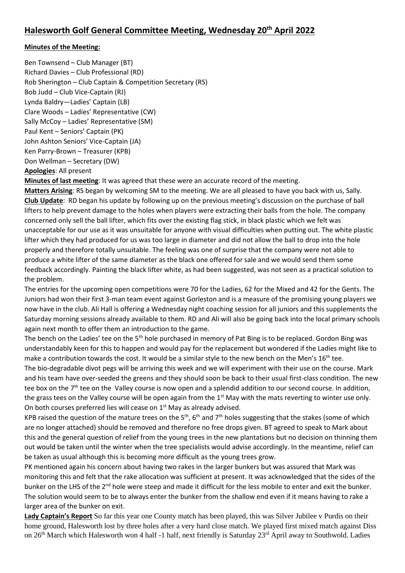# **Minutes of the Meeting:**

Ben Townsend – Club Manager (BT) Richard Davies – Club Professional (RD) Rob Sherington – Club Captain & Competition Secretary (RS) Bob Judd – Club Vice-Captain (RJ) Lynda Baldry—Ladies' Captain (LB) Clare Woods – Ladies' Representative (CW) Sally McCoy – Ladies' Representative (SM) Paul Kent – Seniors' Captain (PK) John Ashton Seniors' Vice-Captain (JA) Ken Parry-Brown – Treasurer (KPB) Don Wellman – Secretary (DW) **Apologies**: All present

**Minutes of last meeting**: It was agreed that these were an accurate record of the meeting.

**Matters Arising**: RS began by welcoming SM to the meeting. We are all pleased to have you back with us, Sally. **Club Update**: RD began his update by following up on the previous meeting's discussion on the purchase of ball lifters to help prevent damage to the holes when players were extracting their balls from the hole. The company concerned only sell the ball lifter, which fits over the existing flag stick, in black plastic which we felt was unacceptable for our use as it was unsuitable for anyone with visual difficulties when putting out. The white plastic lifter which they had produced for us was too large in diameter and did not allow the ball to drop into the hole properly and therefore totally unsuitable. The feeling was one of surprise that the company were not able to produce a white lifter of the same diameter as the black one offered for sale and we would send them some feedback accordingly. Painting the black lifter white, as had been suggested, was not seen as a practical solution to the problem.

The entries for the upcoming open competitions were 70 for the Ladies, 62 for the Mixed and 42 for the Gents. The Juniors had won their first 3-man team event against Gorleston and is a measure of the promising young players we now have in the club. Ali Hall is offering a Wednesday night coaching session for all juniors and this supplements the Saturday morning sessions already available to them. RD and Ali will also be going back into the local primary schools again next month to offer them an introduction to the game.

The bench on the Ladies' tee on the 5<sup>th</sup> hole purchased in memory of Pat Bing is to be replaced. Gordon Bing was understandably keen for this to happen and would pay for the replacement but wondered if the Ladies might like to make a contribution towards the cost. It would be a similar style to the new bench on the Men's 16<sup>th</sup> tee. The bio-degradable divot pegs will be arriving this week and we will experiment with their use on the course. Mark

and his team have over-seeded the greens and they should soon be back to their usual first-class condition. The new tee box on the 7<sup>th</sup> tee on the Valley course is now open and a splendid addition to our second course. In addition, the grass tees on the Valley course will be open again from the  $1<sup>st</sup>$  May with the mats reverting to winter use only. On both courses preferred lies will cease on 1<sup>st</sup> May as already advised.

KPB raised the question of the mature trees on the  $5<sup>th</sup>$ , 6<sup>th</sup> and 7<sup>th</sup> holes suggesting that the stakes (some of which are no longer attached) should be removed and therefore no free drops given. BT agreed to speak to Mark about this and the general question of relief from the young trees in the new plantations but no decision on thinning them out would be taken until the winter when the tree specialists would advise accordingly. In the meantime, relief can be taken as usual although this is becoming more difficult as the young trees grow.

PK mentioned again his concern about having two rakes in the larger bunkers but was assured that Mark was monitoring this and felt that the rake allocation was sufficient at present. It was acknowledged that the sides of the bunker on the LHS of the 2<sup>nd</sup> hole were steep and made it difficult for the less mobile to enter and exit the bunker. The solution would seem to be to always enter the bunker from the shallow end even if it means having to rake a larger area of the bunker on exit.

**Lady Captain's Report** So far this year one County match has been played, this was Silver Jubilee v Purdis on their home ground, Halesworth lost by three holes after a very hard close match. We played first mixed match against Diss on 26<sup>th</sup> March which Halesworth won 4 half -1 half, next friendly is Saturday 23<sup>rd</sup> April away to Southwold. Ladies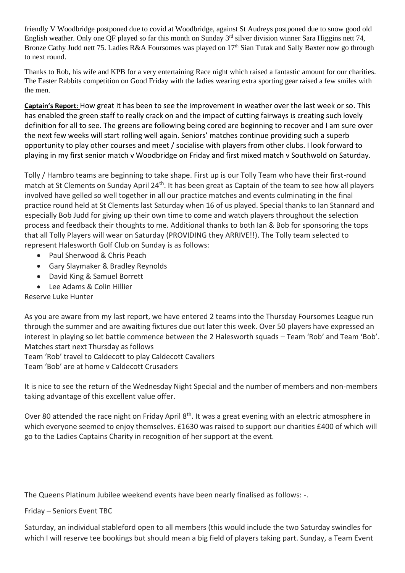friendly V Woodbridge postponed due to covid at Woodbridge, against St Audreys postponed due to snow good old English weather. Only one QF played so far this month on Sunday 3<sup>rd</sup> silver division winner Sara Higgins nett 74, Bronze Cathy Judd nett 75. Ladies R&A Foursomes was played on 17<sup>th</sup> Sian Tutak and Sally Baxter now go through to next round.

Thanks to Rob, his wife and KPB for a very entertaining Race night which raised a fantastic amount for our charities. The Easter Rabbits competition on Good Friday with the ladies wearing extra sporting gear raised a few smiles with the men.

**Captain's Report:** How great it has been to see the improvement in weather over the last week or so. This has enabled the green staff to really crack on and the impact of cutting fairways is creating such lovely definition for all to see. The greens are following being cored are beginning to recover and I am sure over the next few weeks will start rolling well again. Seniors' matches continue providing such a superb opportunity to play other courses and meet / socialise with players from other clubs. I look forward to playing in my first senior match v Woodbridge on Friday and first mixed match v Southwold on Saturday.

Tolly / Hambro teams are beginning to take shape. First up is our Tolly Team who have their first-round match at St Clements on Sunday April 24<sup>th</sup>. It has been great as Captain of the team to see how all players involved have gelled so well together in all our practice matches and events culminating in the final practice round held at St Clements last Saturday when 16 of us played. Special thanks to Ian Stannard and especially Bob Judd for giving up their own time to come and watch players throughout the selection process and feedback their thoughts to me. Additional thanks to both Ian & Bob for sponsoring the tops that all Tolly Players will wear on Saturday (PROVIDING they ARRIVE!!). The Tolly team selected to represent Halesworth Golf Club on Sunday is as follows:

- Paul Sherwood & Chris Peach
- Gary Slaymaker & Bradley Reynolds
- David King & Samuel Borrett
- Lee Adams & Colin Hillier

Reserve Luke Hunter

As you are aware from my last report, we have entered 2 teams into the Thursday Foursomes League run through the summer and are awaiting fixtures due out later this week. Over 50 players have expressed an interest in playing so let battle commence between the 2 Halesworth squads – Team 'Rob' and Team 'Bob'. Matches start next Thursday as follows

Team 'Rob' travel to Caldecott to play Caldecott Cavaliers

Team 'Bob' are at home v Caldecott Crusaders

It is nice to see the return of the Wednesday Night Special and the number of members and non-members taking advantage of this excellent value offer.

Over 80 attended the race night on Friday April 8<sup>th</sup>. It was a great evening with an electric atmosphere in which everyone seemed to enjoy themselves. £1630 was raised to support our charities £400 of which will go to the Ladies Captains Charity in recognition of her support at the event.

The Queens Platinum Jubilee weekend events have been nearly finalised as follows: -.

Friday – Seniors Event TBC

Saturday, an individual stableford open to all members (this would include the two Saturday swindles for which I will reserve tee bookings but should mean a big field of players taking part. Sunday, a Team Event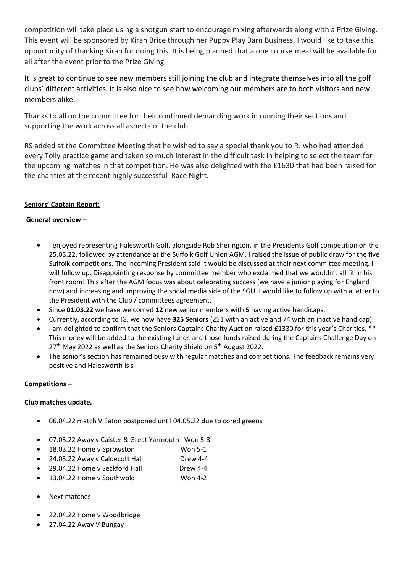competition will take place using a shotgun start to encourage mixing afterwards along with a Prize Giving. This event will be sponsored by Kiran Brice through her Puppy Play Barn Business, I would like to take this opportunity of thanking Kiran for doing this. It is being planned that a one course meal will be available for all after the event prior to the Prize Giving.

It is great to continue to see new members still joining the club and integrate themselves into all the golf clubs' different activities. It is also nice to see how welcoming our members are to both visitors and new members alike.

Thanks to all on the committee for their continued demanding work in running their sections and supporting the work across all aspects of the club.

RS added at the Committee Meeting that he wished to say a special thank you to RJ who had attended every Tolly practice game and taken so much interest in the difficult task in helping to select the team for the upcoming matches in that competition. He was also delighted with the £1630 that had been raised for the charities at the recent highly successful Race Night.

# **Seniors' Captain Report:**

## **General overview –**

- I enjoyed representing Halesworth Golf, alongside Rob Sherington, in the Presidents Golf competition on the 25.03.22, followed by attendance at the Suffolk Golf Union AGM. I raised the issue of public draw for the five Suffolk competitions. The incoming President said it would be discussed at their next committee meeting. I will follow up. Disappointing response by committee member who exclaimed that we wouldn't all fit in his front room! This after the AGM focus was about celebrating success (we have a junior playing for England now) and increasing and improving the social media side of the SGU. I would like to follow up with a letter to the President with the Club / committees agreement.
- Since **01.03.22** we have welcomed **12** new senior members with **5** having active handicaps.
- Currently, according to IG, we now have **325 Seniors** (251 with an active and 74 with an inactive handicap).
- I am delighted to confirm that the Seniors Captains Charity Auction raised £1330 for this year's Charities. \*\* This money will be added to the existing funds and those funds raised during the Captains Challenge Day on  $27<sup>th</sup>$  May 2022 as well as the Seniors Charity Shield on  $5<sup>th</sup>$  August 2022.
- The senior's section has remained busy with regular matches and competitions. The feedback remains very positive and Halesworth is s

## **Competitions –**

## **Club matches update.**

- 06.04.22 match V Eaton postponed until 04.05.22 due to cored greens
- 07.03.22 Away v Caister & Great Yarmouth Won 5-3
- 18.03.22 Home v Sprowston Won 5-1
- 24.03.22 Away v Caldecott Hall Drew 4-4
- 29.04.22 Home v Seckford Hall Drew 4-4
- 13.04.22 Home v Southwold Won 4-2
- Next matches
- 22.04.22 Home v Woodbridge
- 27.04.22 Away V Bungay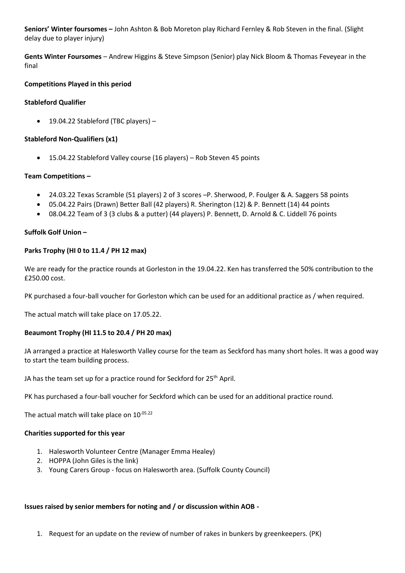**Seniors' Winter foursomes –** John Ashton & Bob Moreton play Richard Fernley & Rob Steven in the final. (Slight delay due to player injury)

**Gents Winter Foursomes** – Andrew Higgins & Steve Simpson (Senior) play Nick Bloom & Thomas Feveyear in the final

### **Competitions Played in this period**

### **Stableford Qualifier**

• 19.04.22 Stableford (TBC players) –

#### **Stableford Non-Qualifiers (x1)**

• 15.04.22 Stableford Valley course (16 players) – Rob Steven 45 points

### **Team Competitions –**

- 24.03.22 Texas Scramble (51 players) 2 of 3 scores –P. Sherwood, P. Foulger & A. Saggers 58 points
- 05.04.22 Pairs (Drawn) Better Ball (42 players) R. Sherington (12) & P. Bennett (14) 44 points
- 08.04.22 Team of 3 (3 clubs & a putter) (44 players) P. Bennett, D. Arnold & C. Liddell 76 points

### **Suffolk Golf Union –**

### **Parks Trophy (HI 0 to 11.4 / PH 12 max)**

We are ready for the practice rounds at Gorleston in the 19.04.22. Ken has transferred the 50% contribution to the £250.00 cost.

PK purchased a four-ball voucher for Gorleston which can be used for an additional practice as / when required.

The actual match will take place on 17.05.22.

## **Beaumont Trophy (HI 11.5 to 20.4 / PH 20 max)**

JA arranged a practice at Halesworth Valley course for the team as Seckford has many short holes. It was a good way to start the team building process.

JA has the team set up for a practice round for Seckford for 25<sup>th</sup> April.

PK has purchased a four-ball voucher for Seckford which can be used for an additional practice round.

The actual match will take place on 10.05.22

#### **Charities supported for this year**

- 1. Halesworth Volunteer Centre (Manager Emma Healey)
- 2. HOPPA (John Giles is the link)
- 3. Young Carers Group focus on Halesworth area. (Suffolk County Council)

#### **Issues raised by senior members for noting and / or discussion within AOB -**

1. Request for an update on the review of number of rakes in bunkers by greenkeepers. (PK)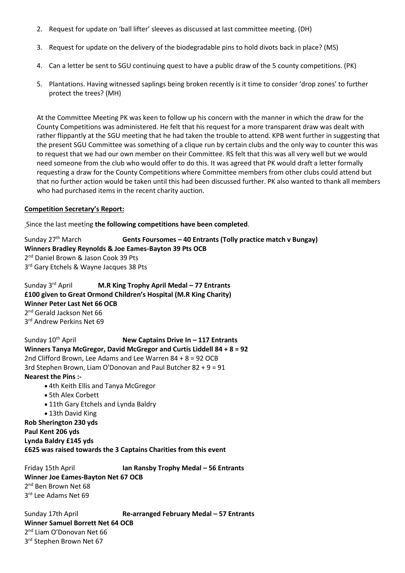- 2. Request for update on 'ball lifter' sleeves as discussed at last committee meeting. (DH)
- 3. Request for update on the delivery of the biodegradable pins to hold divots back in place? (MS)
- 4. Can a letter be sent to SGU continuing quest to have a public draw of the 5 county competitions. (PK)
- 5. Plantations. Having witnessed saplings being broken recently is it time to consider 'drop zones' to further protect the trees? (MH)

At the Committee Meeting PK was keen to follow up his concern with the manner in which the draw for the County Competitions was administered. He felt that his request for a more transparent draw was dealt with rather flippantly at the SGU meeting that he had taken the trouble to attend. KPB went further in suggesting that the present SGU Committee was something of a clique run by certain clubs and the only way to counter this was to request that we had our own member on their Committee. RS felt that this was all very well but we would need someone from the club who would offer to do this. It was agreed that PK would draft a letter formally requesting a draw for the County Competitions where Committee members from other clubs could attend but that no further action would be taken until this had been discussed further. PK also wanted to thank all members who had purchased items in the recent charity auction.

#### **Competition Secretary's Report:**

Since the last meeting **the following competitions have been completed**.

Sunday 27th March **Gents Foursomes – 40 Entrants (Tolly practice match v Bungay) Winners Bradley Reynolds & Joe Eames-Bayton 39 Pts OCB** 2<sup>nd</sup> Daniel Brown & Jason Cook 39 Pts 3<sup>rd</sup> Gary Etchels & Wayne Jacques 38 Pts

Sunday 3rd April **M.R King Trophy April Medal – 77 Entrants £100 given to Great Ormond Children's Hospital (M.R King Charity) Winner Peter Last Net 66 OCB** 2<sup>nd</sup> Gerald Jackson Net 66 3<sup>rd</sup> Andrew Perkins Net 69

Sunday 10th April **New Captains Drive In – 117 Entrants Winners Tanya McGregor, David McGregor and Curtis Liddell 84 + 8 = 92** 2nd Clifford Brown, Lee Adams and Lee Warren 84 + 8 = 92 OCB 3rd Stephen Brown, Liam O'Donovan and Paul Butcher 82 + 9 = 91 **Nearest the Pins :-**

- 4th Keith Ellis and Tanya McGregor
- 5th Alex Corbett
- 11th Gary Etchels and Lynda Baldry
- 13th David King

**Rob Sherington 230 yds Paul Kent 206 yds Lynda Baldry £145 yds £625 was raised towards the 3 Captains Charities from this event**

Friday 15th April **Ian Ransby Trophy Medal – 56 Entrants Winner Joe Eames-Bayton Net 67 OCB** 2<sup>nd</sup> Ben Brown Net 68 3 rd Lee Adams Net 69

Sunday 17th April **Re-arranged February Medal – 57 Entrants Winner Samuel Borrett Net 64 OCB** 2<sup>nd</sup> Liam O'Donovan Net 66 3<sup>rd</sup> Stephen Brown Net 67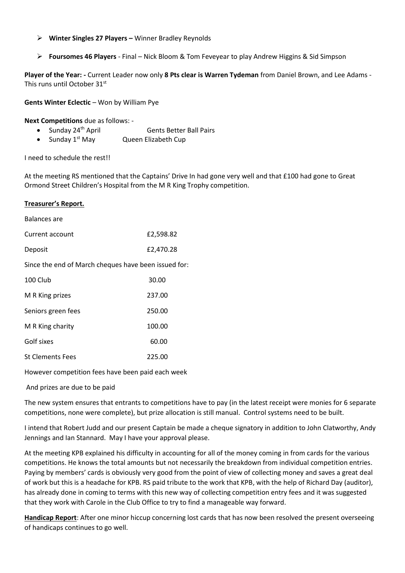- ➢ **Winter Singles 27 Players –** Winner Bradley Reynolds
- ➢ **Foursomes 46 Players** Final Nick Bloom & Tom Feveyear to play Andrew Higgins & Sid Simpson

**Player of the Year: -** Current Leader now only **8 Pts clear is Warren Tydeman** from Daniel Brown, and Lee Adams - This runs until October 31st

**Gents Winter Eclectic** – Won by William Pye

**Next Competitions** due as follows: -

Sunday 24<sup>th</sup> April Gents Better Ball Pairs

• Sunday 1st May Queen Elizabeth Cup

I need to schedule the rest!!

At the meeting RS mentioned that the Captains' Drive In had gone very well and that £100 had gone to Great Ormond Street Children's Hospital from the M R King Trophy competition.

#### **Treasurer's Report.**

| <b>Balances</b> are                                  |           |
|------------------------------------------------------|-----------|
| Current account                                      | £2,598.82 |
| Deposit                                              | £2,470.28 |
| Since the end of March cheques have been issued for: |           |
| 100 Club                                             | 30.00     |
| M R King prizes                                      | 237.00    |
| Seniors green fees                                   | 250.00    |
| M R King charity                                     | 100.00    |
| Golf sixes                                           | 60.00     |
| <b>St Clements Fees</b>                              | 225.00    |

However competition fees have been paid each week

And prizes are due to be paid

The new system ensures that entrants to competitions have to pay (in the latest receipt were monies for 6 separate competitions, none were complete), but prize allocation is still manual. Control systems need to be built.

I intend that Robert Judd and our present Captain be made a cheque signatory in addition to John Clatworthy, Andy Jennings and Ian Stannard. May I have your approval please.

At the meeting KPB explained his difficulty in accounting for all of the money coming in from cards for the various competitions. He knows the total amounts but not necessarily the breakdown from individual competition entries. Paying by members' cards is obviously very good from the point of view of collecting money and saves a great deal of work but this is a headache for KPB. RS paid tribute to the work that KPB, with the help of Richard Day (auditor), has already done in coming to terms with this new way of collecting competition entry fees and it was suggested that they work with Carole in the Club Office to try to find a manageable way forward.

**Handicap Report**: After one minor hiccup concerning lost cards that has now been resolved the present overseeing of handicaps continues to go well.